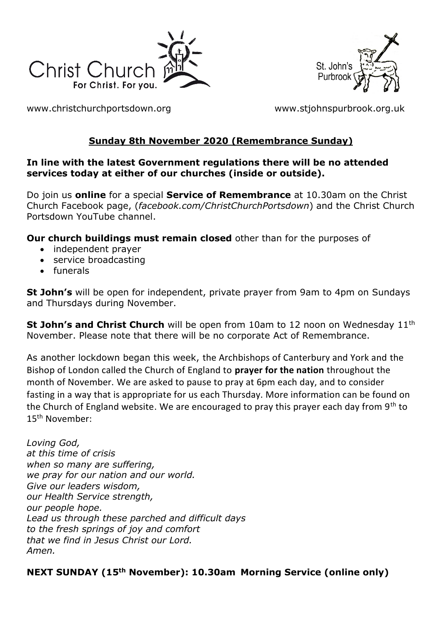



[www.christchurchportsdown.org](http://www.christchurchportsdown.org/) [www.stjohnspurbrook.org.uk](http://www.stjohnspurbrook.org.uk/)

# **Sunday 8th November 2020 (Remembrance Sunday)**

#### **In line with the latest Government regulations there will be no attended services today at either of our churches (inside or outside).**

Do join us **online** for a special **Service of Remembrance** at 10.30am on the Christ Church Facebook page, (*facebook.com/ChristChurchPortsdown*) and the Christ Church Portsdown YouTube channel.

**Our church buildings must remain closed** other than for the purposes of

- independent prayer
- service broadcasting
- funerals

**St John's** will be open for independent, private prayer from 9am to 4pm on Sundays and Thursdays during November.

**St John's and Christ Church** will be open from 10am to 12 noon on Wednesday 11<sup>th</sup> November. Please note that there will be no corporate Act of Remembrance.

As another lockdown began this week, the Archbishops of Canterbury and York and the Bishop of London called the Church of England to **prayer for the nation** throughout the month of November. We are asked to pause to pray at 6pm each day, and to consider fasting in a way that is appropriate for us each Thursday. More information can be found on the Church of England website. We are encouraged to pray this prayer each day from  $9<sup>th</sup>$  to 15th November:

*Loving God, at this time of crisis when so many are suffering, we pray for our nation and our world. Give our leaders wisdom, our Health Service strength, our people hope. Lead us through these parched and difficult days to the fresh springs of joy and comfort that we find in Jesus Christ our Lord. Amen.*

**NEXT SUNDAY (15th November): 10.30am Morning Service (online only)**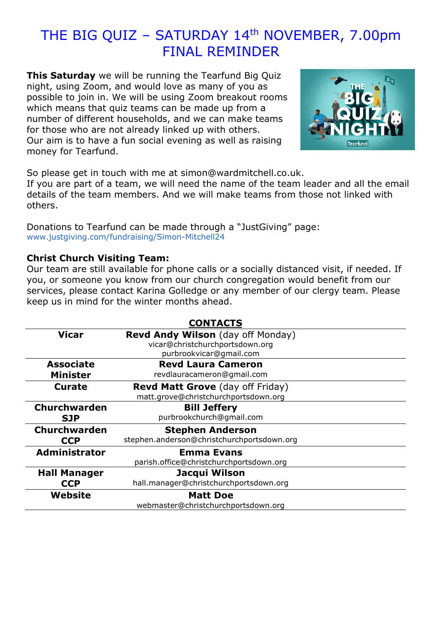# THE BIG QUIZ - SATURDAY 14<sup>th</sup> NOVEMBER, 7.00pm FINAL REMINDER

**This Saturday** we will be running the Tearfund Big Quiz night, using Zoom, and would love as many of you as possible to join in. We will be using Zoom breakout rooms which means that quiz teams can be made up from a number of different households, and we can make teams for those who are not already linked up with others. Our aim is to have a fun social evening as well as raising money for Tearfund.



So please get in touch with me at [simon@wardmitchell.co.uk.](mailto:simon@wardmitchell.co.uk)

If you are part of a team, we will need the name of the team leader and all the email details of the team members. And we will make teams from those not linked with others.

Donations to Tearfund can be made through a "JustGiving" page: [www.justgiving.com/fundraising/Simon-Mitchell24](https://trk.justgiving.com/f/a/CEUmGztc7lK8g3WunLZgiw~~/AAME8QA~/RgRhVucxP0T3aHR0cHM6Ly93d3cuanVzdGdpdmluZy5jb20vZnVuZHJhaXNpbmcvU2ltb24tTWl0Y2hlbGwyND91dG1fY2FtcGFpZ249bGNfZnJwX3NoYXJlX3RyYW5zYWN0aW9uX3RyYW5zYWN0aW9uYWxfLS1fcGFnZV9sYXVuY2hlZF8tLV9jYW1wYWlnbiZ1dG1fY29udGVudD00ZjllNjk4Yi03NWMwLTRkYzUtYmIzOS1iYjEwZDEzOTNiNjAmdXRtX21lZGl1bT1lbWFpbCZ1dG1fc291cmNlPXBvc3RvZmZpY2UmdXRtX3Rlcm09MTYwMTQ2MjgzMjIxOVcDc3BjQgoAHzFidF9OFRWGUhhzaW1vbkB3YXJkbWl0Y2hlbGwuY28udWtYBAAAAAM~)

#### **Christ Church Visiting Team:**

Our team are still available for phone calls or a socially distanced visit, if needed. If you, or someone you know from our church congregation would benefit from our services, please contact Karina Golledge or any member of our clergy team. Please keep us in mind for the winter months ahead.

| <b>CONTACTS</b>      |                                            |
|----------------------|--------------------------------------------|
| <b>Vicar</b>         | <b>Revd Andy Wilson</b> (day off Monday)   |
|                      | vicar@christchurchportsdown.org            |
|                      | purbrookvicar@gmail.com                    |
| <b>Associate</b>     | <b>Revd Laura Cameron</b>                  |
| <b>Minister</b>      | revdlauracameron@gmail.com                 |
| <b>Curate</b>        | <b>Revd Matt Grove</b> (day off Friday)    |
|                      | matt.grove@christchurchportsdown.org       |
| <b>Churchwarden</b>  | <b>Bill Jeffery</b>                        |
| <b>SJP</b>           | purbrookchurch@gmail.com                   |
| Churchwarden         | <b>Stephen Anderson</b>                    |
| <b>CCP</b>           | stephen.anderson@christchurchportsdown.org |
| <b>Administrator</b> | <b>Emma Evans</b>                          |
|                      | parish.office@christchurchportsdown.org    |
| <b>Hall Manager</b>  | Jacqui Wilson                              |
| <b>CCP</b>           | hall.manager@christchurchportsdown.org     |
| Website              | <b>Matt Doe</b>                            |
|                      | webmaster@christchurchportsdown.org        |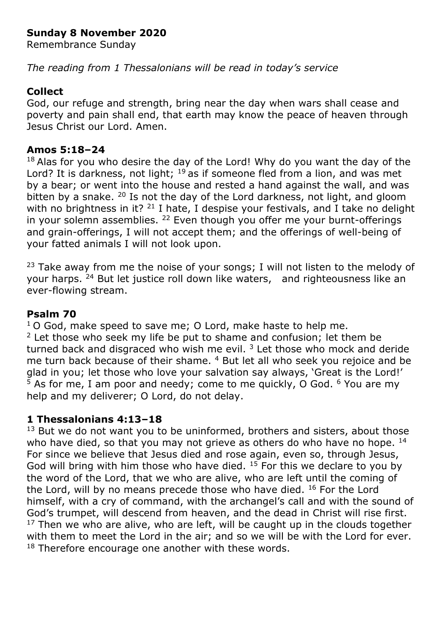## **Sunday 8 November 2020**

Remembrance Sunday

*The reading from 1 Thessalonians will be read in today's service*

### **Collect**

God, our refuge and strength, bring near the day when wars shall cease and poverty and pain shall end, that earth may know the peace of heaven through Jesus Christ our Lord. Amen.

#### **Amos 5:18–24**

 $18$  Alas for you who desire the day of the Lord! Why do you want the day of the Lord? It is darkness, not light;  $19$  as if someone fled from a lion, and was met by a bear; or went into the house and rested a hand against the wall, and was bitten by a snake.  $20$  Is not the day of the Lord darkness, not light, and gloom with no brightness in it?  $21$  I hate, I despise your festivals, and I take no delight in your solemn assemblies. <sup>22</sup> Even though you offer me your burnt-offerings and grain-offerings, I will not accept them; and the offerings of well-being of your fatted animals I will not look upon.

<sup>23</sup> Take away from me the noise of your songs; I will not listen to the melody of your harps. <sup>24</sup> But let justice roll down like waters, and righteousness like an ever-flowing stream.

#### **Psalm 70**

 $10$  God, make speed to save me; O Lord, make haste to help me.  $2$  Let those who seek my life be put to shame and confusion; let them be turned back and disgraced who wish me evil.  $3$  Let those who mock and deride me turn back because of their shame. <sup>4</sup> But let all who seek you rejoice and be glad in you; let those who love your salvation say always, 'Great is the Lord!'  $5$  As for me, I am poor and needy; come to me quickly, O God.  $6$  You are my help and my deliverer; O Lord, do not delay.

## **1 Thessalonians 4:13–18**

 $13$  But we do not want you to be uninformed, brothers and sisters, about those who have died, so that you may not grieve as others do who have no hope. <sup>14</sup> For since we believe that Jesus died and rose again, even so, through Jesus, God will bring with him those who have died.  $15$  For this we declare to you by the word of the Lord, that we who are alive, who are left until the coming of the Lord, will by no means precede those who have died. <sup>16</sup> For the Lord himself, with a cry of command, with the archangel's call and with the sound of God's trumpet, will descend from heaven, and the dead in Christ will rise first.  $17$  Then we who are alive, who are left, will be caught up in the clouds together with them to meet the Lord in the air; and so we will be with the Lord for ever. <sup>18</sup> Therefore encourage one another with these words.